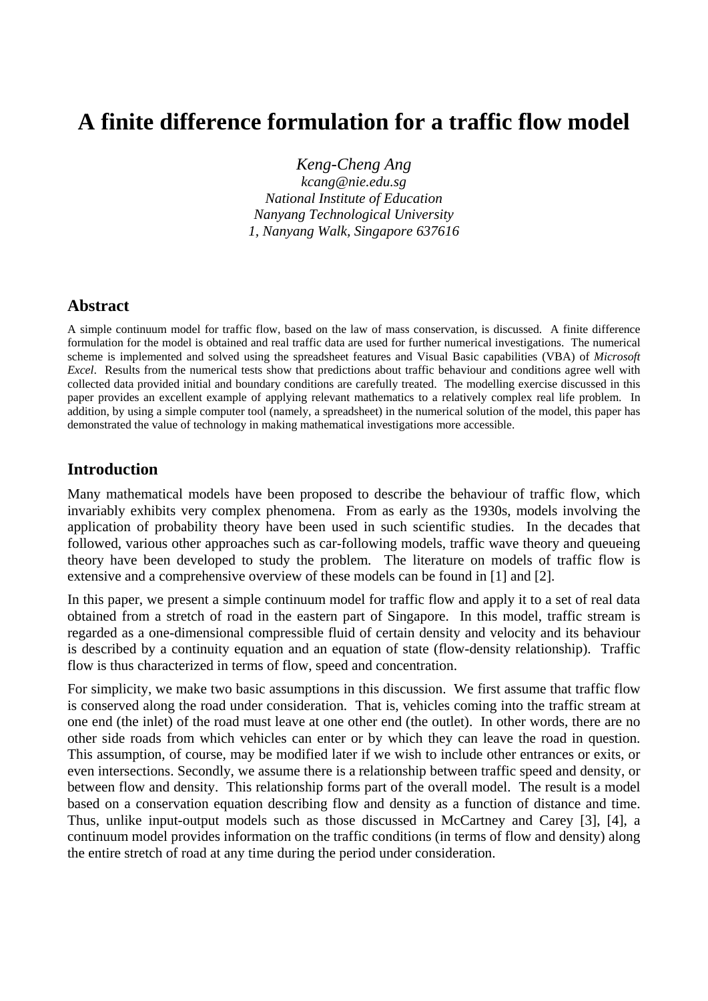# **A finite difference formulation for a traffic flow model**

*Keng-Cheng Ang* 

*kcang@nie.edu.sg National Institute of Education Nanyang Technological University 1, Nanyang Walk, Singapore 637616* 

## **Abstract**

A simple continuum model for traffic flow, based on the law of mass conservation, is discussed. A finite difference formulation for the model is obtained and real traffic data are used for further numerical investigations. The numerical scheme is implemented and solved using the spreadsheet features and Visual Basic capabilities (VBA) of *Microsoft Excel*. Results from the numerical tests show that predictions about traffic behaviour and conditions agree well with collected data provided initial and boundary conditions are carefully treated. The modelling exercise discussed in this paper provides an excellent example of applying relevant mathematics to a relatively complex real life problem. In addition, by using a simple computer tool (namely, a spreadsheet) in the numerical solution of the model, this paper has demonstrated the value of technology in making mathematical investigations more accessible.

## **Introduction**

Many mathematical models have been proposed to describe the behaviour of traffic flow, which invariably exhibits very complex phenomena. From as early as the 1930s, models involving the application of probability theory have been used in such scientific studies. In the decades that followed, various other approaches such as car-following models, traffic wave theory and queueing theory have been developed to study the problem. The literature on models of traffic flow is extensive and a comprehensive overview of these models can be found in [1] and [2].

In this paper, we present a simple continuum model for traffic flow and apply it to a set of real data obtained from a stretch of road in the eastern part of Singapore. In this model, traffic stream is regarded as a one-dimensional compressible fluid of certain density and velocity and its behaviour is described by a continuity equation and an equation of state (flow-density relationship). Traffic flow is thus characterized in terms of flow, speed and concentration.

For simplicity, we make two basic assumptions in this discussion. We first assume that traffic flow is conserved along the road under consideration. That is, vehicles coming into the traffic stream at one end (the inlet) of the road must leave at one other end (the outlet). In other words, there are no other side roads from which vehicles can enter or by which they can leave the road in question. This assumption, of course, may be modified later if we wish to include other entrances or exits, or even intersections. Secondly, we assume there is a relationship between traffic speed and density, or between flow and density. This relationship forms part of the overall model. The result is a model based on a conservation equation describing flow and density as a function of distance and time. Thus, unlike input-output models such as those discussed in McCartney and Carey [3], [4], a continuum model provides information on the traffic conditions (in terms of flow and density) along the entire stretch of road at any time during the period under consideration.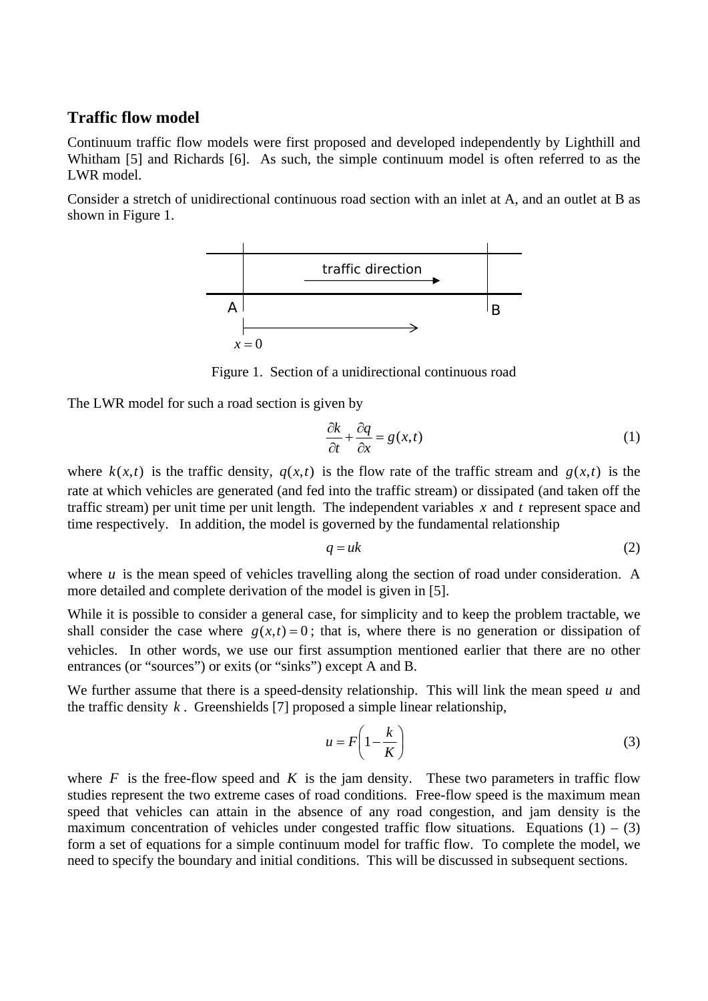## **Traffic flow model**

Continuum traffic flow models were first proposed and developed independently by Lighthill and Whitham [5] and Richards [6]. As such, the simple continuum model is often referred to as the LWR model.

Consider a stretch of unidirectional continuous road section with an inlet at A, and an outlet at B as shown in Figure 1.



Figure 1. Section of a unidirectional continuous road

The LWR model for such a road section is given by

$$
\frac{\partial k}{\partial t} + \frac{\partial q}{\partial x} = g(x, t) \tag{1}
$$

where  $k(x,t)$  is the traffic density,  $q(x,t)$  is the flow rate of the traffic stream and  $g(x,t)$  is the rate at which vehicles are generated (and fed into the traffic stream) or dissipated (and taken off the traffic stream) per unit time per unit length. The independent variables  $x$  and  $t$  represent space and time respectively. In addition, the model is governed by the fundamental relationship

$$
q = uk \tag{2}
$$

where  $u$  is the mean speed of vehicles travelling along the section of road under consideration. A more detailed and complete derivation of the model is given in [5].

While it is possible to consider a general case, for simplicity and to keep the problem tractable, we shall consider the case where  $g(x,t) = 0$ ; that is, where there is no generation or dissipation of vehicles. In other words, we use our first assumption mentioned earlier that there are no other entrances (or "sources") or exits (or "sinks") except A and B.

We further assume that there is a speed-density relationship. This will link the mean speed  $u$  and the traffic density  $k$ . Greenshields [7] proposed a simple linear relationship,

$$
u = F\left(1 - \frac{k}{K}\right) \tag{3}
$$

where  $F$  is the free-flow speed and  $K$  is the jam density. These two parameters in traffic flow studies represent the two extreme cases of road conditions. Free-flow speed is the maximum mean speed that vehicles can attain in the absence of any road congestion, and jam density is the maximum concentration of vehicles under congested traffic flow situations. Equations  $(1) - (3)$ form a set of equations for a simple continuum model for traffic flow. To complete the model, we need to specify the boundary and initial conditions. This will be discussed in subsequent sections.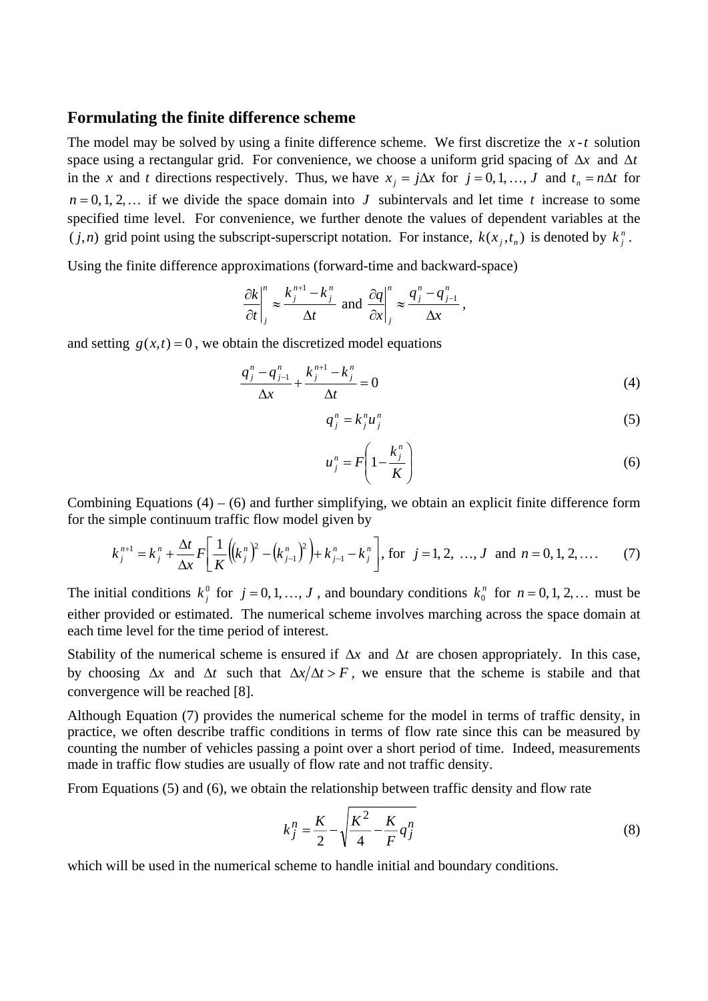#### **Formulating the finite difference scheme**

The model may be solved by using a finite difference scheme. We first discretize the  $x - t$  solution space using a rectangular grid. For convenience, we choose a uniform grid spacing of  $\Delta x$  and  $\Delta t$ in the *x* and *t* directions respectively. Thus, we have  $x_i = j\Delta x$  for  $j = 0, 1, ..., J$  and  $t_n = n\Delta t$  for  $n = 0, 1, 2, \ldots$  if we divide the space domain into J subintervals and let time t increase to some specified time level. For convenience, we further denote the values of dependent variables at the  $(j, n)$  grid point using the subscript-superscript notation. For instance,  $k(x_j, t_n)$  is denoted by  $k_j^n$ .

Using the finite difference approximations (forward-time and backward-space)

$$
\left.\frac{\partial k}{\partial t}\right|_j^n \approx \frac{k_j^{n+1} - k_j^n}{\Delta t} \text{ and } \left.\frac{\partial q}{\partial x}\right|_j^n \approx \frac{q_j^n - q_{j-1}^n}{\Delta x},
$$

and setting  $g(x,t) = 0$ , we obtain the discretized model equations

$$
\frac{q_j^n - q_{j-1}^n}{\Delta x} + \frac{k_j^{n+1} - k_j^n}{\Delta t} = 0
$$
\n(4)

$$
q_j^n = k_j^n u_j^n \tag{5}
$$

$$
u_j^n = F\left(1 - \frac{k_j^n}{K}\right) \tag{6}
$$

Combining Equations  $(4) - (6)$  and further simplifying, we obtain an explicit finite difference form for the simple continuum traffic flow model given by

$$
k_j^{n+1} = k_j^n + \frac{\Delta t}{\Delta x} F\left[\frac{1}{K} \left( \left(k_j^n\right)^2 - \left(k_{j-1}^n\right)^2 \right) + k_{j-1}^n - k_j^n \right], \text{ for } j = 1, 2, ..., J \text{ and } n = 0, 1, 2, .... \tag{7}
$$

The initial conditions  $k_j^0$  for  $j = 0, 1, ..., J$ , and boundary conditions  $k_0^n$  for  $n = 0, 1, 2, ...$  must be either provided or estimated. The numerical scheme involves marching across the space domain at each time level for the time period of interest.

Stability of the numerical scheme is ensured if Δ*x* and Δ*t* are chosen appropriately. In this case, by choosing  $\Delta x$  and  $\Delta t$  such that  $\Delta x/\Delta t > F$ , we ensure that the scheme is stabile and that convergence will be reached [8].

Although Equation (7) provides the numerical scheme for the model in terms of traffic density, in practice, we often describe traffic conditions in terms of flow rate since this can be measured by counting the number of vehicles passing a point over a short period of time. Indeed, measurements made in traffic flow studies are usually of flow rate and not traffic density.

From Equations (5) and (6), we obtain the relationship between traffic density and flow rate

$$
k_j^n = \frac{K}{2} - \sqrt{\frac{K^2}{4} - \frac{K}{F}q_j^n}
$$
 (8)

which will be used in the numerical scheme to handle initial and boundary conditions.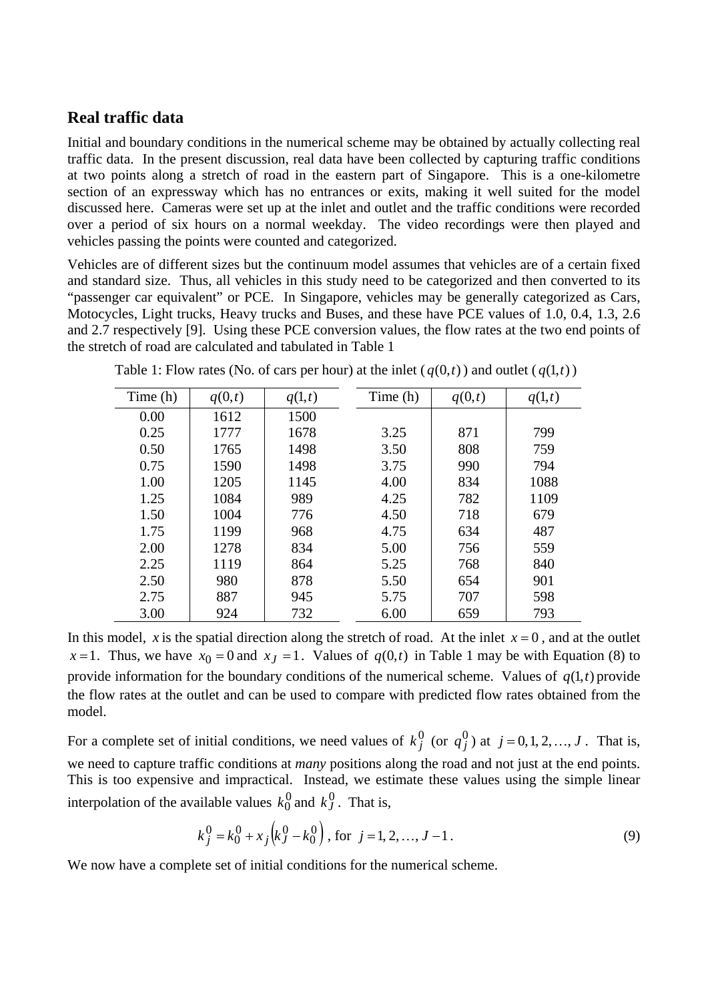## **Real traffic data**

Initial and boundary conditions in the numerical scheme may be obtained by actually collecting real traffic data. In the present discussion, real data have been collected by capturing traffic conditions at two points along a stretch of road in the eastern part of Singapore. This is a one-kilometre section of an expressway which has no entrances or exits, making it well suited for the model discussed here. Cameras were set up at the inlet and outlet and the traffic conditions were recorded over a period of six hours on a normal weekday. The video recordings were then played and vehicles passing the points were counted and categorized.

Vehicles are of different sizes but the continuum model assumes that vehicles are of a certain fixed and standard size. Thus, all vehicles in this study need to be categorized and then converted to its "passenger car equivalent" or PCE. In Singapore, vehicles may be generally categorized as Cars, Motocycles, Light trucks, Heavy trucks and Buses, and these have PCE values of 1.0, 0.4, 1.3, 2.6 and 2.7 respectively [9]. Using these PCE conversion values, the flow rates at the two end points of the stretch of road are calculated and tabulated in Table 1

| Time (h) | q(0,t) | q(1,t) | Time (h) | q(0,t) | q(1,t) |
|----------|--------|--------|----------|--------|--------|
| 0.00     | 1612   | 1500   |          |        |        |
| 0.25     | 1777   | 1678   | 3.25     | 871    | 799    |
| 0.50     | 1765   | 1498   | 3.50     | 808    | 759    |
| 0.75     | 1590   | 1498   | 3.75     | 990    | 794    |
| 1.00     | 1205   | 1145   | 4.00     | 834    | 1088   |
| 1.25     | 1084   | 989    | 4.25     | 782    | 1109   |
| 1.50     | 1004   | 776    | 4.50     | 718    | 679    |
| 1.75     | 1199   | 968    | 4.75     | 634    | 487    |
| 2.00     | 1278   | 834    | 5.00     | 756    | 559    |
| 2.25     | 1119   | 864    | 5.25     | 768    | 840    |
| 2.50     | 980    | 878    | 5.50     | 654    | 901    |
| 2.75     | 887    | 945    | 5.75     | 707    | 598    |
| 3.00     | 924    | 732    | 6.00     | 659    | 793    |

Table 1: Flow rates (No. of cars per hour) at the inlet ( $q(0,t)$ ) and outlet ( $q(1,t)$ )

In this model, x is the spatial direction along the stretch of road. At the inlet  $x = 0$ , and at the outlet  $x = 1$ . Thus, we have  $x_0 = 0$  and  $x_j = 1$ . Values of  $q(0, t)$  in Table 1 may be with Equation (8) to provide information for the boundary conditions of the numerical scheme. Values of  $q(1,t)$  provide the flow rates at the outlet and can be used to compare with predicted flow rates obtained from the model.

For a complete set of initial conditions, we need values of  $k_j^0$  (or  $q_j^0$ ) at  $j = 0, 1, 2, ..., J$ . That is, we need to capture traffic conditions at *many* positions along the road and not just at the end points. This is too expensive and impractical. Instead, we estimate these values using the simple linear interpolation of the available values  $k_0^0$  and  $k_J^0$ . That is,

$$
k_j^0 = k_0^0 + x_j \left(k_j^0 - k_0^0\right), \text{ for } j = 1, 2, ..., J - 1.
$$
 (9)

We now have a complete set of initial conditions for the numerical scheme.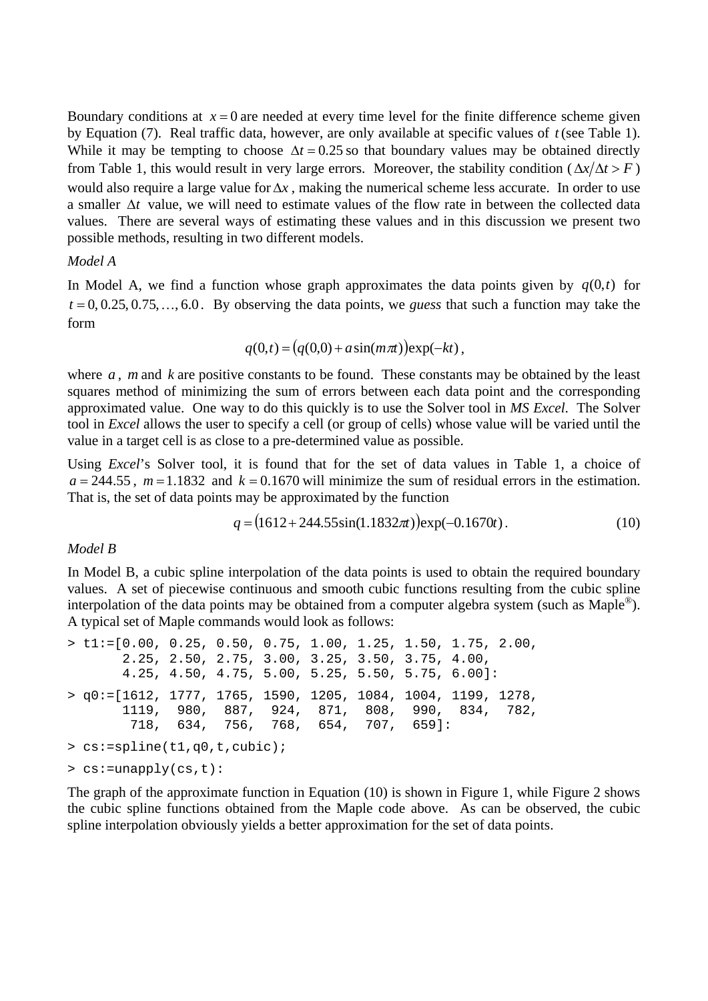Boundary conditions at  $x = 0$  are needed at every time level for the finite difference scheme given by Equation (7). Real traffic data, however, are only available at specific values of *t*(see Table 1). While it may be tempting to choose  $\Delta t = 0.25$  so that boundary values may be obtained directly from Table 1, this would result in very large errors. Moreover, the stability condition ( $\Delta x/\Delta t > F$ ) would also require a large value for  $\Delta x$ , making the numerical scheme less accurate. In order to use a smaller  $\Delta t$  value, we will need to estimate values of the flow rate in between the collected data values. There are several ways of estimating these values and in this discussion we present two possible methods, resulting in two different models.

#### *Model A*

In Model A, we find a function whose graph approximates the data points given by  $q(0,t)$  for  $t = 0, 0.25, 0.75, \ldots, 6.0$ . By observing the data points, we *guess* that such a function may take the form

$$
q(0,t) = (q(0,0) + a\sin(m\pi t))\exp(-kt),
$$

where  $a$ ,  $m$  and  $k$  are positive constants to be found. These constants may be obtained by the least squares method of minimizing the sum of errors between each data point and the corresponding approximated value. One way to do this quickly is to use the Solver tool in *MS Excel*. The Solver tool in *Excel* allows the user to specify a cell (or group of cells) whose value will be varied until the value in a target cell is as close to a pre-determined value as possible.

Using *Excel*'s Solver tool, it is found that for the set of data values in Table 1, a choice of  $a = 244.55$ ,  $m = 1.1832$  and  $k = 0.1670$  will minimize the sum of residual errors in the estimation. That is, the set of data points may be approximated by the function

$$
q = (1612 + 244.55\sin(1.1832\pi))\exp(-0.1670t). \tag{10}
$$

#### *Model B*

In Model B, a cubic spline interpolation of the data points is used to obtain the required boundary values. A set of piecewise continuous and smooth cubic functions resulting from the cubic spline interpolation of the data points may be obtained from a computer algebra system (such as Maple<sup>®</sup>). A typical set of Maple commands would look as follows:

 $>$  t1:=[0.00, 0.25, 0.50, 0.75, 1.00, 1.25, 1.50, 1.75, 2.00, 2.25, 2.50, 2.75, 3.00, 3.25, 3.50, 3.75, 4.00, 4.25, 4.50, 4.75, 5.00, 5.25, 5.50, 5.75, 6.00]: > q0:=[1612, 1777, 1765, 1590, 1205, 1084, 1004, 1199, 1278, 1119, 980, 887, 924, 871, 808, 990, 834, 782, 718, 634, 756, 768, 654, 707, 659]: > cs:=spline(t1,q0,t,cubic); > cs:=unapply(cs,t):

The graph of the approximate function in Equation (10) is shown in Figure 1, while Figure 2 shows the cubic spline functions obtained from the Maple code above. As can be observed, the cubic spline interpolation obviously yields a better approximation for the set of data points.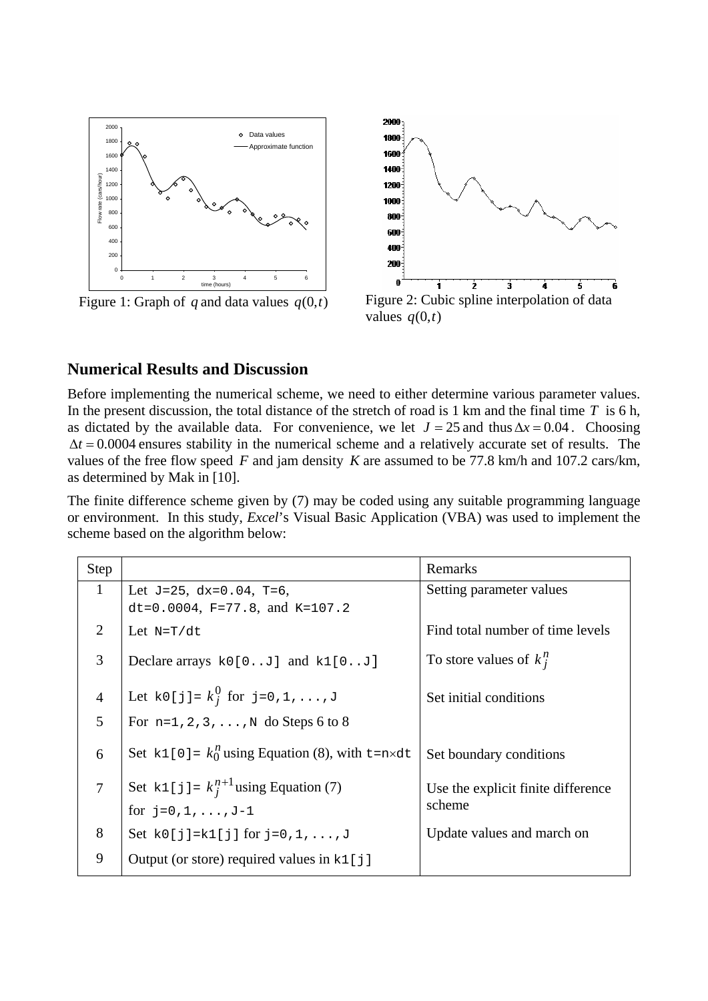

Figure 1: Graph of q and data values  $q(0,t)$  Figure 2: Cubic spline interpolation of data



values  $q(0,t)$ 

## **Numerical Results and Discussion**

Before implementing the numerical scheme, we need to either determine various parameter values. In the present discussion, the total distance of the stretch of road is 1 km and the final time *T* is 6 h, as dictated by the available data. For convenience, we let  $J = 25$  and thus  $\Delta x = 0.04$ . Choosing  $\Delta t = 0.0004$  ensures stability in the numerical scheme and a relatively accurate set of results. The values of the free flow speed  $F$  and jam density  $K$  are assumed to be 77.8 km/h and 107.2 cars/km, as determined by Mak in [10].

The finite difference scheme given by (7) may be coded using any suitable programming language or environment. In this study, *Excel*'s Visual Basic Application (VBA) was used to implement the scheme based on the algorithm below:

| Step           |                                                     | Remarks                            |
|----------------|-----------------------------------------------------|------------------------------------|
| 1              | Let $J=25$ , $dx=0.04$ , $T=6$ ,                    | Setting parameter values           |
|                | dt=0.0004, $F=77.8$ , and $K=107.2$                 |                                    |
| 2              | Let $N=T/dt$                                        | Find total number of time levels   |
| 3              | Declare arrays $k0[0J]$ and $k1[0J]$                | To store values of $k_i^n$         |
| $\overline{4}$ | Let $k0[j] = k_i^0$ for j=0,1,, J                   | Set initial conditions             |
| 5              | For $n=1, 2, 3, $ , N do Steps 6 to 8               |                                    |
| 6              | Set k1[0] = $k_0^n$ using Equation (8), with t=n×dt | Set boundary conditions            |
| $\overline{7}$ | Set k1[j]= $k_i^{n+1}$ using Equation (7)           | Use the explicit finite difference |
|                | for $j=0,1,,J-1$                                    | scheme                             |
| 8              | Set $k0[j]=k1[j]$ for $j=0,1,,J$                    | Update values and march on         |
| 9              | Output (or store) required values in $k1$ [ j ]     |                                    |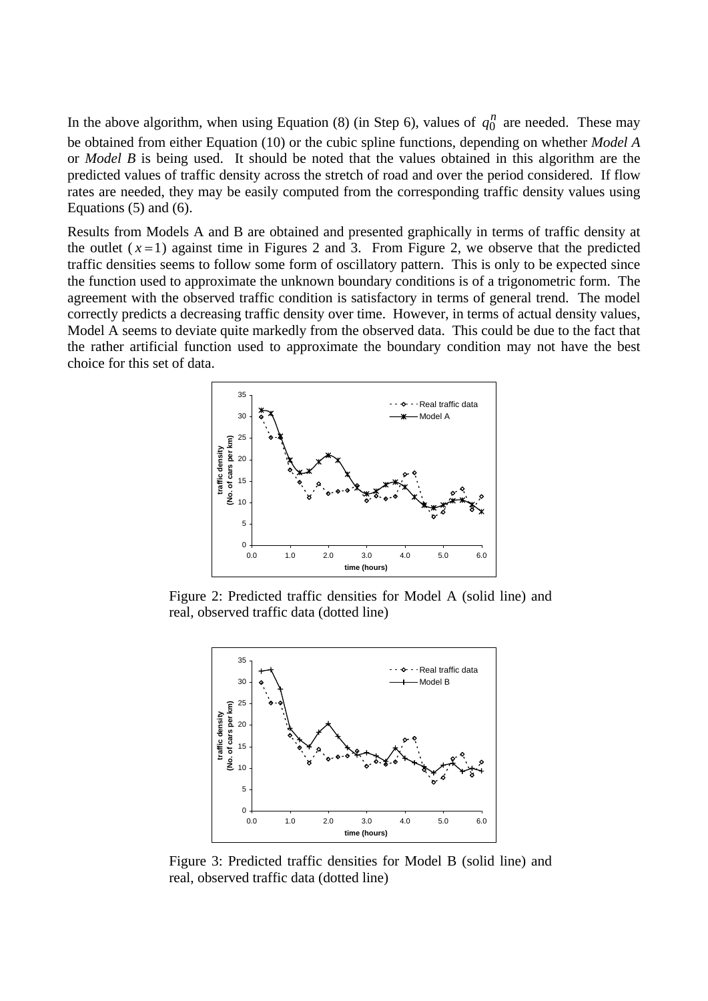In the above algorithm, when using Equation (8) (in Step 6), values of  $q_0^n$  are needed. These may be obtained from either Equation (10) or the cubic spline functions, depending on whether *Model A* or *Model B* is being used. It should be noted that the values obtained in this algorithm are the predicted values of traffic density across the stretch of road and over the period considered. If flow rates are needed, they may be easily computed from the corresponding traffic density values using Equations (5) and (6).

Results from Models A and B are obtained and presented graphically in terms of traffic density at the outlet  $(x=1)$  against time in Figures 2 and 3. From Figure 2, we observe that the predicted traffic densities seems to follow some form of oscillatory pattern. This is only to be expected since the function used to approximate the unknown boundary conditions is of a trigonometric form. The agreement with the observed traffic condition is satisfactory in terms of general trend. The model correctly predicts a decreasing traffic density over time. However, in terms of actual density values, Model A seems to deviate quite markedly from the observed data. This could be due to the fact that the rather artificial function used to approximate the boundary condition may not have the best choice for this set of data.



Figure 2: Predicted traffic densities for Model A (solid line) and real, observed traffic data (dotted line)



Figure 3: Predicted traffic densities for Model B (solid line) and real, observed traffic data (dotted line)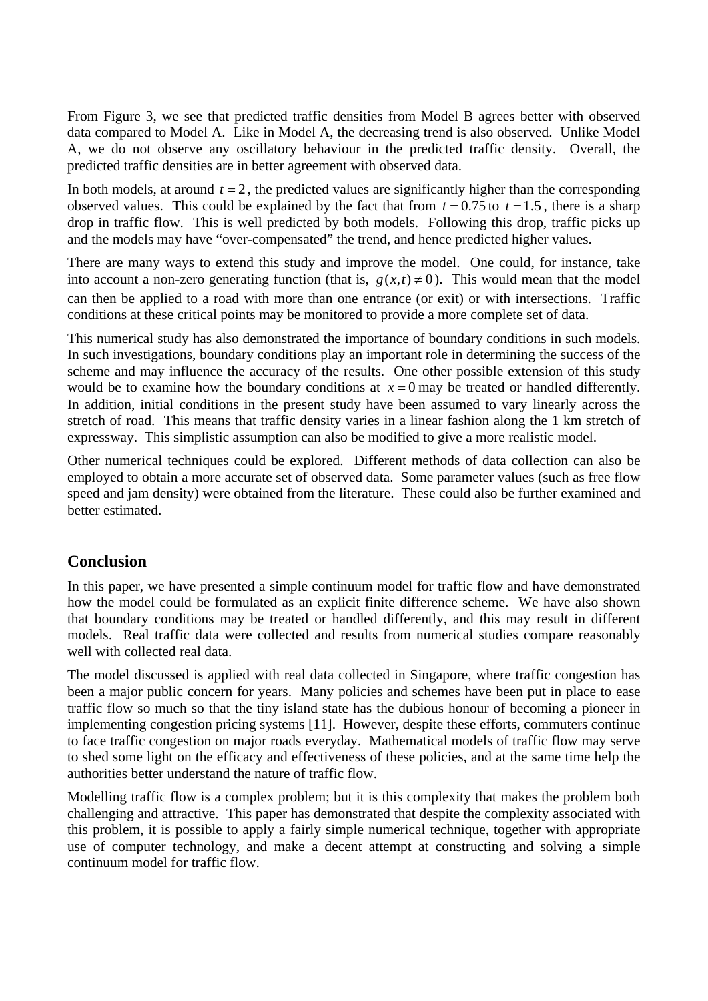From Figure 3, we see that predicted traffic densities from Model B agrees better with observed data compared to Model A. Like in Model A, the decreasing trend is also observed. Unlike Model A, we do not observe any oscillatory behaviour in the predicted traffic density. Overall, the predicted traffic densities are in better agreement with observed data.

In both models, at around  $t = 2$ , the predicted values are significantly higher than the corresponding observed values. This could be explained by the fact that from  $t = 0.75$  to  $t = 1.5$ , there is a sharp drop in traffic flow. This is well predicted by both models. Following this drop, traffic picks up and the models may have "over-compensated" the trend, and hence predicted higher values.

There are many ways to extend this study and improve the model. One could, for instance, take into account a non-zero generating function (that is,  $g(x,t) \neq 0$ ). This would mean that the model can then be applied to a road with more than one entrance (or exit) or with intersections. Traffic conditions at these critical points may be monitored to provide a more complete set of data.

This numerical study has also demonstrated the importance of boundary conditions in such models. In such investigations, boundary conditions play an important role in determining the success of the scheme and may influence the accuracy of the results. One other possible extension of this study would be to examine how the boundary conditions at  $x = 0$  may be treated or handled differently. In addition, initial conditions in the present study have been assumed to vary linearly across the stretch of road. This means that traffic density varies in a linear fashion along the 1 km stretch of expressway. This simplistic assumption can also be modified to give a more realistic model.

Other numerical techniques could be explored. Different methods of data collection can also be employed to obtain a more accurate set of observed data. Some parameter values (such as free flow speed and jam density) were obtained from the literature. These could also be further examined and better estimated.

## **Conclusion**

In this paper, we have presented a simple continuum model for traffic flow and have demonstrated how the model could be formulated as an explicit finite difference scheme. We have also shown that boundary conditions may be treated or handled differently, and this may result in different models. Real traffic data were collected and results from numerical studies compare reasonably well with collected real data

The model discussed is applied with real data collected in Singapore, where traffic congestion has been a major public concern for years. Many policies and schemes have been put in place to ease traffic flow so much so that the tiny island state has the dubious honour of becoming a pioneer in implementing congestion pricing systems [11]. However, despite these efforts, commuters continue to face traffic congestion on major roads everyday. Mathematical models of traffic flow may serve to shed some light on the efficacy and effectiveness of these policies, and at the same time help the authorities better understand the nature of traffic flow.

Modelling traffic flow is a complex problem; but it is this complexity that makes the problem both challenging and attractive. This paper has demonstrated that despite the complexity associated with this problem, it is possible to apply a fairly simple numerical technique, together with appropriate use of computer technology, and make a decent attempt at constructing and solving a simple continuum model for traffic flow.